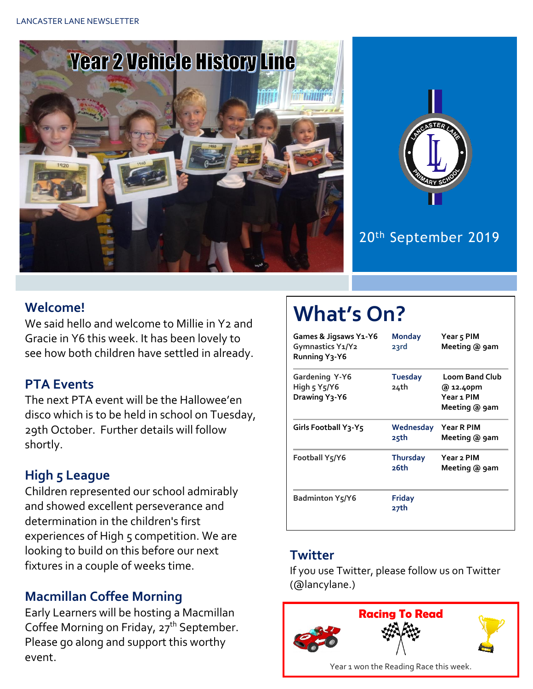



## 20th September 2019

### **Welcome!**

We said hello and welcome to Millie in Y2 and Gracie in Y6 this week. It has been lovely to see how both children have settled in already.

### **PTA Events**

The next PTA event will be the Hallowee'en disco which is to be held in school on Tuesday, 29th October. Further details will follow shortly.

## **High 5 League**

Children represented our school admirably and showed excellent perseverance and determination in the children's first experiences of High 5 competition. We are looking to build on this before our next fixtures in a couple of weeks time.

## **Macmillan Coffee Morning**

Early Learners will be hosting a Macmillan Coffee Morning on Friday, 27<sup>th</sup> September. Please go along and support this worthy event.

# **What's On?**

| Games & Jigsaws Y1-Y6<br>Gymnastics Y1/Y2<br>Running Y3-Y6              | <b>Monday</b><br>23rd   | Year 5 PIM<br>Meeting @ 9am                                       |
|-------------------------------------------------------------------------|-------------------------|-------------------------------------------------------------------|
| <b>Gardening Y-Y6</b><br>High $5 \text{ Y}5/\text{Y}6$<br>Drawing Y3-Y6 | <b>Tuesday</b><br>24th  | <b>Loom Band Club</b><br>@ 12.40pm<br>Year 1 PIM<br>Meeting @ 9am |
| Girls Football Y3-Y5                                                    | Wednesday<br>25th       | Year R PIM<br>Meeting @ 9am                                       |
| <b>Football Y5/Y6</b>                                                   | <b>Thursday</b><br>26th | Year 2 PIM<br>Meeting @ 9am                                       |
| Badminton Y5/Y6                                                         | <b>Friday</b><br>27th   |                                                                   |

#### **Twitter**

If you use Twitter, please follow us on Twitter (@lancylane.)

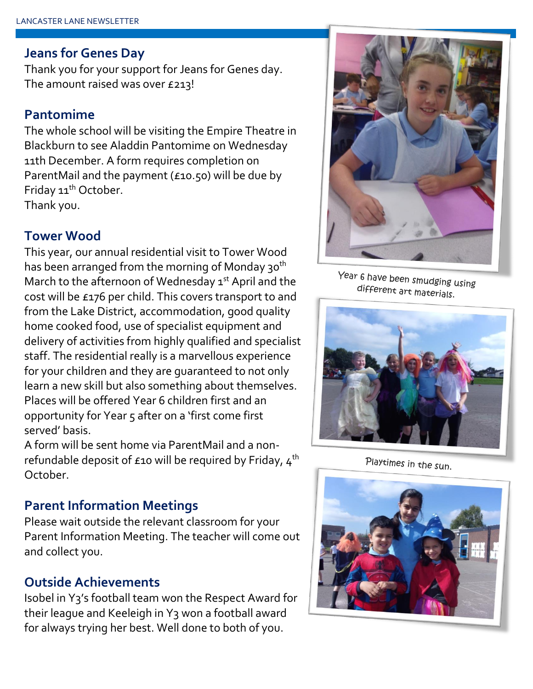#### **Jeans for Genes Day**

Thank you for your support for Jeans for Genes day. The amount raised was over £213!

#### **Pantomime**

The whole school will be visiting the Empire Theatre in Blackburn to see Aladdin Pantomime on Wednesday 11th December. A form requires completion on ParentMail and the payment (£10.50) will be due by Friday 11<sup>th</sup> October. Thank you.

#### **Tower Wood**

This year, our annual residential visit to Tower Wood has been arranged from the morning of Monday 30<sup>th</sup> March to the afternoon of Wednesday  $1<sup>st</sup>$  April and the cost will be £176 per child. This covers transport to and from the Lake District, accommodation, good quality home cooked food, use of specialist equipment and delivery of activities from highly qualified and specialist staff. The residential really is a marvellous experience for your children and they are guaranteed to not only learn a new skill but also something about themselves. Places will be offered Year 6 children first and an opportunity for Year 5 after on a 'first come first served' basis.

A form will be sent home via ParentMail and a nonrefundable deposit of  $\epsilon$ 10 will be required by Friday,  $4<sup>th</sup>$ October.

#### **Parent Information Meetings**

Please wait outside the relevant classroom for your Parent Information Meeting. The teacher will come out and collect you.

#### **Outside Achievements**

Isobel in Y3's football team won the Respect Award for their league and Keeleigh in Y3 won a football award for always trying her best. Well done to both of you.



Year 6 have been smudging using different art materials.



Playtimes in the sun.